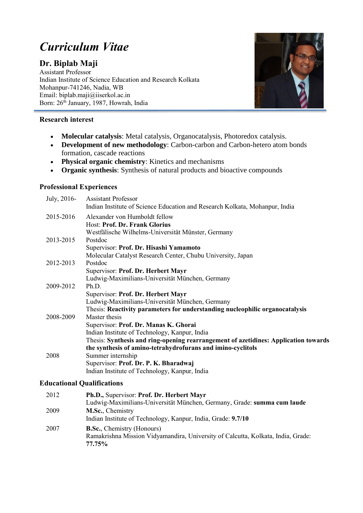# *Curriculum Vitae*

# **Dr. Biplab Maji**

Assistant Professor Indian Institute of Science Education and Research Kolkata Mohanpur-741246, Nadia, WB Email: biplab.maji@iiserkol.ac.in Born: 26th January, 1987, Howrah, India



# **Research interest**

- **Molecular catalysis**: Metal catalysis, Organocatalysis, Photoredox catalysis.
- **Development of new methodology**: Carbon-carbon and Carbon-hetero atom bonds formation, cascade reactions
- **Physical organic chemistry**: Kinetics and mechanisms
- **Organic synthesis**: Synthesis of natural products and bioactive compounds

# **Professional Experiences**

| July, 2016- | <b>Assistant Professor</b>                                                          |
|-------------|-------------------------------------------------------------------------------------|
|             | Indian Institute of Science Education and Research Kolkata, Mohanpur, India         |
| 2015-2016   | Alexander von Humboldt fellow                                                       |
|             | Host: Prof. Dr. Frank Glorius                                                       |
|             | Westfälische Wilhelms-Universität Münster, Germany                                  |
| 2013-2015   | Postdoc                                                                             |
|             | Supervisor: Prof. Dr. Hisashi Yamamoto                                              |
|             | Molecular Catalyst Research Center, Chubu University, Japan                         |
| 2012-2013   | Postdoc                                                                             |
|             | Supervisor: Prof. Dr. Herbert Mayr                                                  |
|             | Ludwig-Maximilians-Universität München, Germany                                     |
| 2009-2012   | Ph.D.                                                                               |
|             | Supervisor: Prof. Dr. Herbert Mayr                                                  |
|             | Ludwig-Maximilians-Universität München, Germany                                     |
|             | Thesis: Reactivity parameters for understanding nucleophilic organocatalysis        |
| 2008-2009   | Master thesis                                                                       |
|             | Supervisor: Prof. Dr. Manas K. Ghorai                                               |
|             | Indian Institute of Technology, Kanpur, India                                       |
|             | Thesis: Synthesis and ring-opening rearrangement of azetidines: Application towards |
|             | the synthesis of amino-tetrahydrofurans and imino-cyclitols                         |
| 2008        | Summer internship                                                                   |
|             | Supervisor: Prof. Dr. P. K. Bharadwaj                                               |
|             | Indian Institute of Technology, Kanpur, India                                       |

#### **Educational Qualifications**

| 2012 | Ph.D., Supervisor: Prof. Dr. Herbert Mayr<br>Ludwig-Maximilians-Universität München, Germany, Grade: summa cum laude             |
|------|----------------------------------------------------------------------------------------------------------------------------------|
| 2009 | M.Sc., Chemistry<br>Indian Institute of Technology, Kanpur, India, Grade: 9.7/10                                                 |
| 2007 | <b>B.Sc.</b> , Chemistry (Honours)<br>Ramakrishna Mission Vidyamandira, University of Calcutta, Kolkata, India, Grade:<br>77.75% |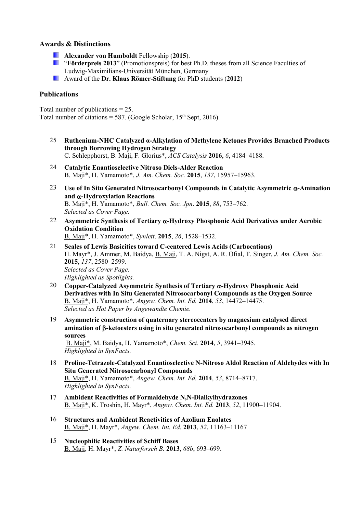#### **Awards & Distinctions**

- **Alexander von Humboldt** Fellowship (**2015**).
- **F** "Förderpreis 2013" (Promotionspreis) for best Ph.D. theses from all Science Faculties of Ludwig-Maximilians-Universität München, Germany
- Award of the **[Dr. Klaus Römer-Stiftung](http://www.cup.uni-muenchen.de/roemer/)** for PhD students (**2012**)

### **Publications**

Total number of publications = 25. Total number of citations = 587. (Google Scholar,  $15<sup>th</sup>$  Sept, 2016).

- 25 **Ruthenium-NHC Catalyzed α-Alkylation of Methylene Ketones Provides Branched Products through Borrowing Hydrogen Strategy** C. Schlepphorst, B. Maji, F. Glorius\*, *ACS Catalysis* **2016**, *6*, 4184–4188.
- 24 **Catalytic Enantioselective Nitroso Diels-Alder Reaction** B. Maji\*, H. Yamamoto\*, *J. Am. Chem. Soc.* **2015**, *137*, 15957–15963.
- 23 **Use of In Situ Generated Nitrosocarbonyl Compounds in Catalytic Asymmetric -Amination and -Hydroxylation Reactions** B. Maji\*, H. Yamamoto\*, *Bull. Chem. Soc. Jpn*. **2015**, *88*, 753–762. *Selected as Cover Page.*
- 22 **Asymmetric Synthesis of Tertiary -Hydroxy Phosphonic Acid Derivatives under Aerobic Oxidation Condition** B. Maji\*, H. Yamamoto\*, *Synlett*. **2015**, *26*, 1528–1532.
- 21 **Scales of Lewis Basicities toward C-centered Lewis Acids (Carbocations)** H. Mayr\*, J. Ammer, M. Baidya, B. Maji, T. A. Nigst, A. R. Ofial, T. Singer, *J. Am. Chem. Soc.* **2015**, *137*, 2580–2599*. Selected as Cover Page. Highlighted as Spotlights.*
- 20 **Copper-Catalyzed Asymmetric Synthesis of Tertiary -Hydroxy Phosphonic Acid Derivatives with In Situ Generated Nitrosocarbonyl Compounds as the Oxygen Source** B. Maji\*, H. Yamamoto\*, *Angew. Chem. Int. Ed.* **2014**, *53*, 14472–14475. *Selected as Hot Paper by Angewandte Chemie.*
- 19 **Asymmetric construction of quaternary stereocenters by magnesium catalysed direct amination of -ketoesters using in situ generated nitrosocarbonyl compounds as nitrogen sources** B. Maji\*, M. Baidya, H. Yamamoto\*, *Chem. Sci.* **2014**, *5*, 3941–3945.

*Highlighted in SynFacts.*

- 18 **Proline-Tetrazole-Catalyzed Enantioselective N-Nitroso Aldol Reaction of Aldehydes with In Situ Generated Nitrosocarbonyl Compounds** B. Maji\*, H. Yamamoto\*, *Angew. Chem. Int. Ed.* **2014**, *53*, 8714–8717. *Highlighted in SynFacts.*
- 17 **Ambident Reactivities of Formaldehyde N,N-Dialkylhydrazones**  B. Maji\*, K. Troshin, H. Mayr\*, *Angew. Chem. Int. Ed.* **2013**, *52*, 11900–11904.
- 16 **Structures and Ambident Reactivities of Azolium Enolates**  B. Maji\*, H. Mayr\*, *Angew. Chem. Int. Ed.* **2013**, *52*, 11163–11167
- 15 **Nucleophilic Reactivities of Schiff Bases** B. Maji, H. Mayr\*, *Z. Naturforsch B.* **2013**, *68b*, 693–699.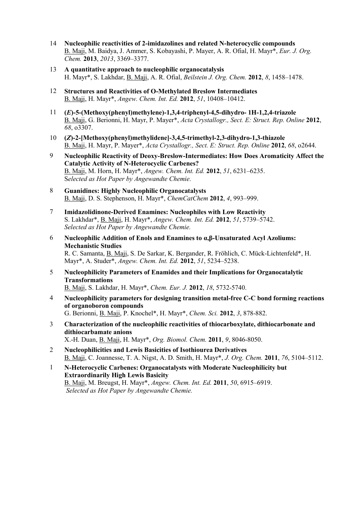- 14 **Nucleophilic reactivities of 2-imidazolines and related N-heterocyclic compounds** B. Maji, M. Baidya, J. Ammer, S. Kobayashi, P. Mayer, A. R. Ofial, H. Mayr\*, *Eur. J. Org. Chem.* **2013**, *2013*, 3369–3377.
- 13 **A quantitative approach to nucleophilic organocatalysis** H. Mayr\*, S. Lakhdar, B. Maji, A. R. Ofial, *Beilstein J. Org. Chem.* **2012**, *8*, 1458–1478.
- 12 **Structures and Reactivities of O-Methylated Breslow Intermediates** B. Maji, H. Mayr\*, *Angew. Chem. Int. Ed.* **2012**, *51*, 10408–10412.
- 11 **(***E***)-5-(Methoxy(phenyl)methylene)-1,3,4-triphenyl-4,5-dihydro- 1H-1,2,4-triazole** B. Maji, G. Berionni, H. Mayr, P. Mayer\*, *Acta Crystallogr., Sect. E: Struct. Rep. Online* **2012**, *68*, o3307.
- 10 **(***Z***)-2-[Methoxy(phenyl)methylidene]-3,4,5-trimethyl-2,3-dihydro-1,3-thiazole** B. Maji, H. Mayr, P. Mayer\*, *Acta Crystallogr., Sect. E: Struct. Rep. Online* **2012**, *68*, o2644.
- 9 **Nucleophilic Reactivity of Deoxy-Breslow-Intermediates: How Does Aromaticity Affect the Catalytic Activity of N-Heterocyclic Carbenes?** B. Maji, M. Horn, H. Mayr\*, *Angew. Chem. Int. Ed.* **2012**, *51*, 6231–6235. S*elected as Hot Paper by Angewandte Chemie.*
- 8 **Guanidines: Highly Nucleophilic Organocatalysts** B. Maji, D. S. Stephenson, H. Mayr\*, *ChemCatChem* **2012**, *4*, 993–999.
- 7 **Imidazolidinone-Derived Enamines: Nucleophiles with Low Reactivity** S. Lakhdar\*, B. Maji, H. Mayr\*, *Angew. Chem. Int. Ed.* **2012**, *51*, 5739–5742. *Selected as Hot Paper by Angewandte Chemie.*
- 6 **Nucleophilic Addition of Enols and Enamines to α,β-Unsaturated Acyl Azoliums: Mechanistic Studies** R. C. Samanta, B. Maji, S. De Sarkar, K. Bergander, R. Fröhlich, C. Mück-Lichtenfeld\*, H. Mayr\*, A. Studer\*, *Angew. Chem. Int. Ed.* **2012**, *51*, 5234–5238.
- 5 **Nucleophilicity Parameters of Enamides and their Implications for Organocatalytic Transformations** B. Maji, S. Lakhdar, H. Mayr\*, *Chem. Eur. J.* **2012**, *18*, 5732-5740.
- 4 **Nucleophilicity parameters for designing transition metal-free C-C bond forming reactions of organoboron compounds** G. Berionni, B. Maji, P. Knochel\*, H. Mayr\*, *Chem. Sci.* **2012**, *3*, 878-882.
- 3 **Characterization of the nucleophilic reactivities of thiocarboxylate, dithiocarbonate and dithiocarbamate anions** X.-H. Duan, B. Maji, H. Mayr\*, *Org. Biomol. Chem.* **2011**, *9*, 8046-8050.
- 2 **Nucleophilicities and Lewis Basicities of Isothiourea Derivatives** B. Maji, C. Joannesse, T. A. Nigst, A. D. Smith, H. Mayr\*, *J. Org. Chem.* **2011**, *76*, 5104–5112.
- 1 **N-Heterocyclic Carbenes: Organocatalysts with Moderate Nucleophilicity but Extraordinarily High Lewis Basicity** B. Maji, M. Breugst, H. Mayr\*, *Angew. Chem. Int. Ed.* **2011**, *50*, 6915–6919. *Selected as Hot Paper by Angewandte Chemie.*